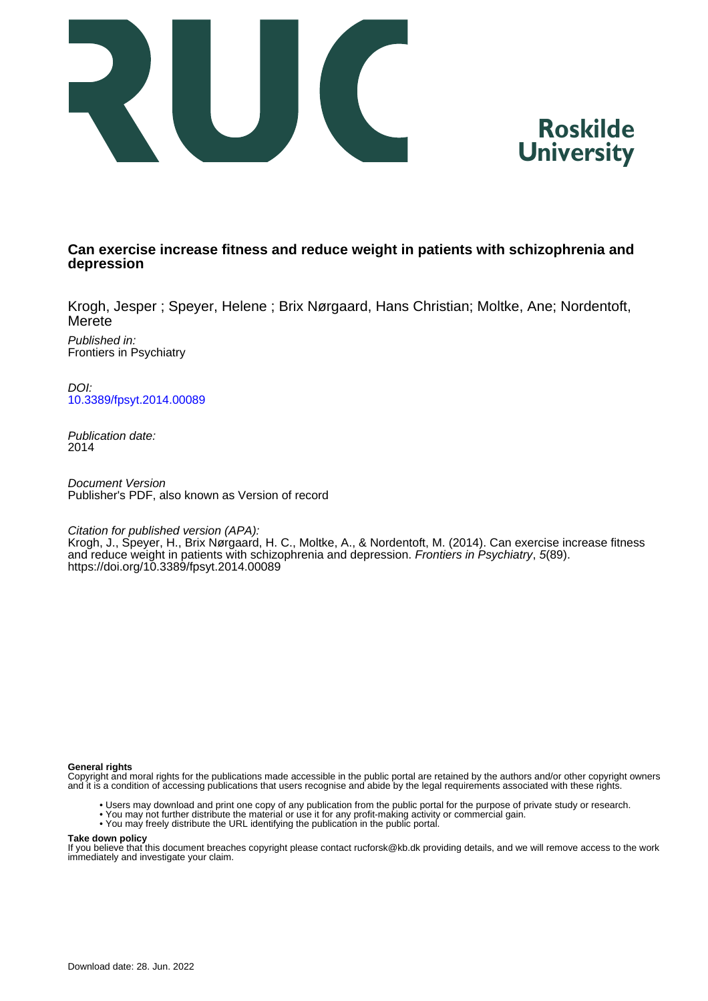



# **Can exercise increase fitness and reduce weight in patients with schizophrenia and depression**

Krogh, Jesper ; Speyer, Helene ; Brix Nørgaard, Hans Christian; Moltke, Ane; Nordentoft, Merete

Published in: Frontiers in Psychiatry

DOI: [10.3389/fpsyt.2014.00089](https://doi.org/10.3389/fpsyt.2014.00089)

Publication date: 2014

Document Version Publisher's PDF, also known as Version of record

Citation for published version (APA):

Krogh, J., Speyer, H., Brix Nørgaard, H. C., Moltke, A., & Nordentoft, M. (2014). Can exercise increase fitness and reduce weight in patients with schizophrenia and depression. Frontiers in Psychiatry, 5(89). <https://doi.org/10.3389/fpsyt.2014.00089>

### **General rights**

Copyright and moral rights for the publications made accessible in the public portal are retained by the authors and/or other copyright owners and it is a condition of accessing publications that users recognise and abide by the legal requirements associated with these rights.

- Users may download and print one copy of any publication from the public portal for the purpose of private study or research.
- You may not further distribute the material or use it for any profit-making activity or commercial gain.
- You may freely distribute the URL identifying the publication in the public portal.

#### **Take down policy**

If you believe that this document breaches copyright please contact rucforsk@kb.dk providing details, and we will remove access to the work immediately and investigate your claim.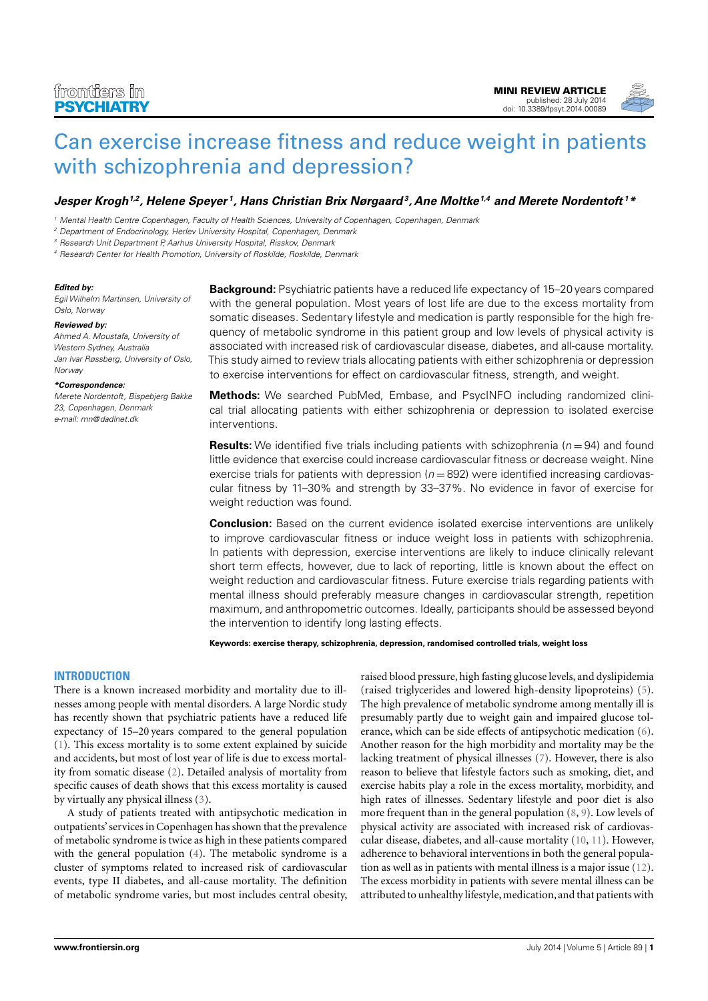

**Jesper Krogh1,2, [Helene Speyer](http://www.frontiersin.org/people/u/168497) <sup>1</sup> , [Hans Christian Brix Nørgaard](http://www.frontiersin.org/people/u/173542)<sup>3</sup> , Ane Moltke1,4 and [Merete Nordentoft](http://www.frontiersin.org/people/u/154885) <sup>1</sup>\***

<sup>1</sup> Mental Health Centre Copenhagen, Faculty of Health Sciences, University of Copenhagen, Copenhagen, Denmark

<sup>2</sup> Department of Endocrinology, Herlev University Hospital, Copenhagen, Denmark

<sup>3</sup> Research Unit Department P, Aarhus University Hospital, Risskov, Denmark

<sup>4</sup> Research Center for Health Promotion, University of Roskilde, Roskilde, Denmark

#### **Edited by:**

Egil Wilhelm Martinsen, University of Oslo, Norway

#### **Reviewed by:**

Ahmed A. Moustafa, University of Western Sydney, Australia Jan Ivar Røssberg, University of Oslo, Norway

#### **\*Correspondence:**

Merete Nordentoft, Bispebjerg Bakke 23, Copenhagen, Denmark e-mail: [mn@dadlnet.dk](mailto:mn@dadlnet.dk)

**Background:** Psychiatric patients have a reduced life expectancy of 15–20 years compared with the general population. Most years of lost life are due to the excess mortality from somatic diseases. Sedentary lifestyle and medication is partly responsible for the high frequency of metabolic syndrome in this patient group and low levels of physical activity is associated with increased risk of cardiovascular disease, diabetes, and all-cause mortality. This study aimed to review trials allocating patients with either schizophrenia or depression to exercise interventions for effect on cardiovascular fitness, strength, and weight.

**Methods:** We searched PubMed, Embase, and PsycINFO including randomized clinical trial allocating patients with either schizophrenia or depression to isolated exercise interventions.

**Results:** We identified five trials including patients with schizophrenia ( $n = 94$ ) and found little evidence that exercise could increase cardiovascular fitness or decrease weight. Nine exercise trials for patients with depression ( $n = 892$ ) were identified increasing cardiovascular fitness by 11–30% and strength by 33–37%. No evidence in favor of exercise for weight reduction was found.

**Conclusion:** Based on the current evidence isolated exercise interventions are unlikely to improve cardiovascular fitness or induce weight loss in patients with schizophrenia. In patients with depression, exercise interventions are likely to induce clinically relevant short term effects, however, due to lack of reporting, little is known about the effect on weight reduction and cardiovascular fitness. Future exercise trials regarding patients with mental illness should preferably measure changes in cardiovascular strength, repetition maximum, and anthropometric outcomes. Ideally, participants should be assessed beyond the intervention to identify long lasting effects.

**Keywords: exercise therapy, schizophrenia, depression, randomised controlled trials, weight loss**

### **INTRODUCTION**

There is a known increased morbidity and mortality due to illnesses among people with mental disorders. A large Nordic study has recently shown that psychiatric patients have a reduced life expectancy of 15–20 years compared to the general population [\(1\)](#page-5-0). This excess mortality is to some extent explained by suicide and accidents, but most of lost year of life is due to excess mortality from somatic disease [\(2\)](#page-5-1). Detailed analysis of mortality from specific causes of death shows that this excess mortality is caused by virtually any physical illness [\(3\)](#page-5-2).

A study of patients treated with antipsychotic medication in outpatients' services in Copenhagen has shown that the prevalence of metabolic syndrome is twice as high in these patients compared with the general population [\(4\)](#page-6-0). The metabolic syndrome is a cluster of symptoms related to increased risk of cardiovascular events, type II diabetes, and all-cause mortality. The definition of metabolic syndrome varies, but most includes central obesity, raised blood pressure, high fasting glucose levels, and dyslipidemia (raised triglycerides and lowered high-density lipoproteins) [\(5\)](#page-6-1). The high prevalence of metabolic syndrome among mentally ill is presumably partly due to weight gain and impaired glucose tolerance, which can be side effects of antipsychotic medication [\(6\)](#page-6-2). Another reason for the high morbidity and mortality may be the lacking treatment of physical illnesses [\(7\)](#page-6-3). However, there is also reason to believe that lifestyle factors such as smoking, diet, and exercise habits play a role in the excess mortality, morbidity, and high rates of illnesses. Sedentary lifestyle and poor diet is also more frequent than in the general population [\(8,](#page-6-4) [9\)](#page-6-5). Low levels of physical activity are associated with increased risk of cardiovascular disease, diabetes, and all-cause mortality [\(10,](#page-6-6) [11\)](#page-6-7). However, adherence to behavioral interventions in both the general population as well as in patients with mental illness is a major issue [\(12\)](#page-6-8). The excess morbidity in patients with severe mental illness can be attributed to unhealthy lifestyle, medication, and that patients with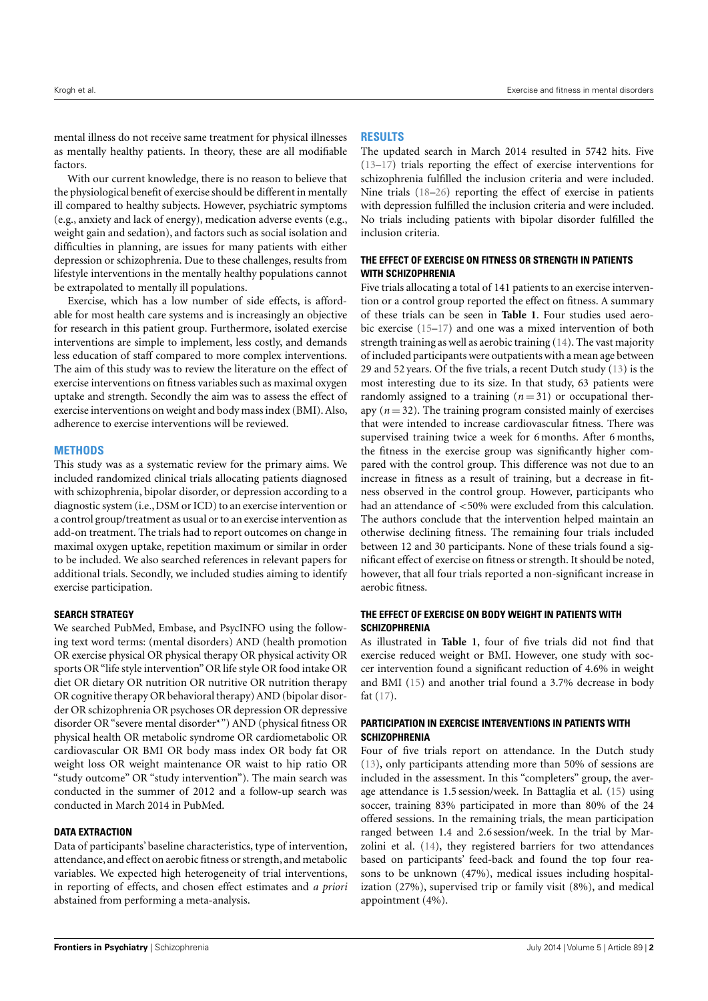mental illness do not receive same treatment for physical illnesses as mentally healthy patients. In theory, these are all modifiable factors.

With our current knowledge, there is no reason to believe that the physiological benefit of exercise should be different in mentally ill compared to healthy subjects. However, psychiatric symptoms (e.g., anxiety and lack of energy), medication adverse events (e.g., weight gain and sedation), and factors such as social isolation and difficulties in planning, are issues for many patients with either depression or schizophrenia. Due to these challenges, results from lifestyle interventions in the mentally healthy populations cannot be extrapolated to mentally ill populations.

Exercise, which has a low number of side effects, is affordable for most health care systems and is increasingly an objective for research in this patient group. Furthermore, isolated exercise interventions are simple to implement, less costly, and demands less education of staff compared to more complex interventions. The aim of this study was to review the literature on the effect of exercise interventions on fitness variables such as maximal oxygen uptake and strength. Secondly the aim was to assess the effect of exercise interventions on weight and body mass index (BMI). Also, adherence to exercise interventions will be reviewed.

### **METHODS**

This study was as a systematic review for the primary aims. We included randomized clinical trials allocating patients diagnosed with schizophrenia, bipolar disorder, or depression according to a diagnostic system (i.e., DSM or ICD) to an exercise intervention or a control group/treatment as usual or to an exercise intervention as add-on treatment. The trials had to report outcomes on change in maximal oxygen uptake, repetition maximum or similar in order to be included. We also searched references in relevant papers for additional trials. Secondly, we included studies aiming to identify exercise participation.

### **SEARCH STRATEGY**

We searched PubMed, Embase, and PsycINFO using the following text word terms: (mental disorders) AND (health promotion OR exercise physical OR physical therapy OR physical activity OR sports OR "life style intervention" OR life style OR food intake OR diet OR dietary OR nutrition OR nutritive OR nutrition therapy OR cognitive therapy OR behavioral therapy) AND (bipolar disorder OR schizophrenia OR psychoses OR depression OR depressive disorder OR "severe mental disorder\*") AND (physical fitness OR physical health OR metabolic syndrome OR cardiometabolic OR cardiovascular OR BMI OR body mass index OR body fat OR weight loss OR weight maintenance OR waist to hip ratio OR "study outcome" OR "study intervention"). The main search was conducted in the summer of 2012 and a follow-up search was conducted in March 2014 in PubMed.

### **DATA EXTRACTION**

Data of participants' baseline characteristics, type of intervention, attendance, and effect on aerobic fitness or strength, and metabolic variables. We expected high heterogeneity of trial interventions, in reporting of effects, and chosen effect estimates and *a priori* abstained from performing a meta-analysis.

# **RESULTS**

The updated search in March 2014 resulted in 5742 hits. Five [\(13–](#page-6-9)[17\)](#page-6-10) trials reporting the effect of exercise interventions for schizophrenia fulfilled the inclusion criteria and were included. Nine trials [\(18](#page-6-11)[–26\)](#page-6-12) reporting the effect of exercise in patients with depression fulfilled the inclusion criteria and were included. No trials including patients with bipolar disorder fulfilled the inclusion criteria.

# **THE EFFECT OF EXERCISE ON FITNESS OR STRENGTH IN PATIENTS WITH SCHIZOPHRENIA**

Five trials allocating a total of 141 patients to an exercise intervention or a control group reported the effect on fitness. A summary of these trials can be seen in **[Table 1](#page-3-0)**. Four studies used aerobic exercise [\(15](#page-6-13)[–17\)](#page-6-10) and one was a mixed intervention of both strength training as well as aerobic training [\(14\)](#page-6-14). The vast majority of included participants were outpatients with a mean age between 29 and 52 years. Of the five trials, a recent Dutch study [\(13\)](#page-6-9) is the most interesting due to its size. In that study, 63 patients were randomly assigned to a training  $(n=31)$  or occupational therapy  $(n = 32)$ . The training program consisted mainly of exercises that were intended to increase cardiovascular fitness. There was supervised training twice a week for 6 months. After 6 months, the fitness in the exercise group was significantly higher compared with the control group. This difference was not due to an increase in fitness as a result of training, but a decrease in fitness observed in the control group. However, participants who had an attendance of <50% were excluded from this calculation. The authors conclude that the intervention helped maintain an otherwise declining fitness. The remaining four trials included between 12 and 30 participants. None of these trials found a significant effect of exercise on fitness or strength. It should be noted, however, that all four trials reported a non-significant increase in aerobic fitness.

# **THE EFFECT OF EXERCISE ON BODY WEIGHT IN PATIENTS WITH SCHIZOPHRENIA**

As illustrated in **[Table 1](#page-3-0)**, four of five trials did not find that exercise reduced weight or BMI. However, one study with soccer intervention found a significant reduction of 4.6% in weight and BMI [\(15\)](#page-6-13) and another trial found a 3.7% decrease in body fat [\(17\)](#page-6-10).

# **PARTICIPATION IN EXERCISE INTERVENTIONS IN PATIENTS WITH SCHIZOPHRENIA**

Four of five trials report on attendance. In the Dutch study [\(13\)](#page-6-9), only participants attending more than 50% of sessions are included in the assessment. In this "completers" group, the average attendance is 1.5 session/week. In Battaglia et al. [\(15\)](#page-6-13) using soccer, training 83% participated in more than 80% of the 24 offered sessions. In the remaining trials, the mean participation ranged between 1.4 and 2.6 session/week. In the trial by Marzolini et al. [\(14\)](#page-6-14), they registered barriers for two attendances based on participants' feed-back and found the top four reasons to be unknown (47%), medical issues including hospitalization (27%), supervised trip or family visit (8%), and medical appointment (4%).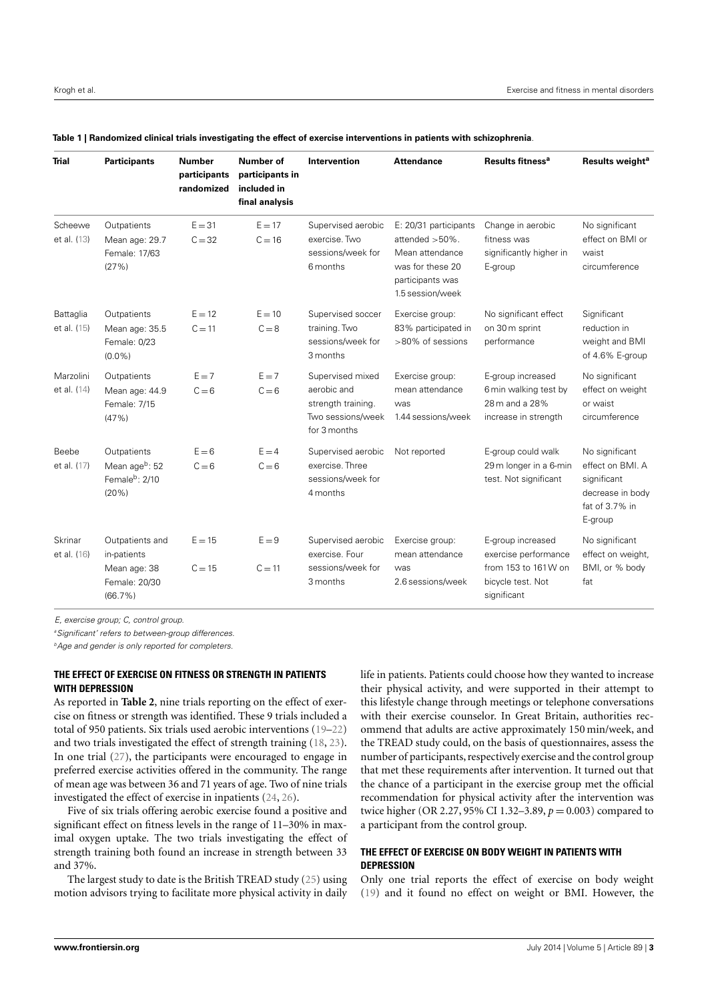| <b>Trial</b>             | <b>Participants</b>                                                           | <b>Number</b><br>participants<br>randomized | Number of<br>participants in<br>included in<br>final analysis | Intervention                                                                               | <b>Attendance</b>                                                                                                          | Results fitness <sup>a</sup>                                                                         | Results weight <sup>a</sup>                                                                        |
|--------------------------|-------------------------------------------------------------------------------|---------------------------------------------|---------------------------------------------------------------|--------------------------------------------------------------------------------------------|----------------------------------------------------------------------------------------------------------------------------|------------------------------------------------------------------------------------------------------|----------------------------------------------------------------------------------------------------|
| Scheewe<br>et al. (13)   | Outpatients<br>Mean age: 29.7<br>Female: 17/63<br>(27%)                       | $E = 31$<br>$C = 32$                        | $F = 17$<br>$C = 16$                                          | Supervised aerobic<br>exercise. Two<br>sessions/week for<br>6 months                       | E: 20/31 participants<br>attended $>50\%$ .<br>Mean attendance<br>was for these 20<br>participants was<br>1.5 session/week | Change in aerobic<br>fitness was<br>significantly higher in<br>E-group                               | No significant<br>effect on BMI or<br>waist<br>circumference                                       |
| Battaglia<br>et al. (15) | Outpatients<br>Mean age: 35.5<br>Female: 0/23<br>$(0.0\%)$                    | $E = 12$<br>$C = 11$                        | $E = 10$<br>$C = 8$                                           | Supervised soccer<br>training. Two<br>sessions/week for<br>3 months                        | Exercise group:<br>83% participated in<br>>80% of sessions                                                                 | No significant effect<br>on 30 m sprint<br>performance                                               | Significant<br>reduction in<br>weight and BMI<br>of 4.6% E-group                                   |
| Marzolini<br>et al. (14) | Outpatients<br>Mean age: 44.9<br>Female: 7/15<br>(47%)                        | $E = 7$<br>$C = 6$                          | $E = 7$<br>$C = 6$                                            | Supervised mixed<br>aerobic and<br>strength training.<br>Two sessions/week<br>for 3 months | Exercise group:<br>mean attendance<br>was<br>1.44 sessions/week                                                            | E-group increased<br>6 min walking test by<br>28 m and a 28%<br>increase in strength                 | No significant<br>effect on weight<br>or waist<br>circumference                                    |
| Beebe<br>et al. (17)     | Outpatients<br>Mean ageb: 52<br>Female <sup>b</sup> : 2/10<br>(20%)           | $E = 6$<br>$C = 6$                          | $E = 4$<br>$C = 6$                                            | Supervised aerobic<br>exercise. Three<br>sessions/week for<br>4 months                     | Not reported                                                                                                               | E-group could walk<br>29 m longer in a 6-min<br>test. Not significant                                | No significant<br>effect on BMI. A<br>significant<br>decrease in body<br>fat of 3.7% in<br>E-group |
| Skrinar<br>et al. (16)   | Outpatients and<br>in-patients<br>Mean age: 38<br>Female: 20/30<br>$(66.7\%)$ | $E = 15$<br>$C = 15$                        | $E = 9$<br>$C = 11$                                           | Supervised aerobic<br>exercise. Four<br>sessions/week for<br>3 months                      | Exercise group:<br>mean attendance<br>was<br>2.6 sessions/week                                                             | E-group increased<br>exercise performance<br>from 153 to 161W on<br>bicycle test. Not<br>significant | No significant<br>effect on weight,<br>BMI, or % body<br>fat                                       |

<span id="page-3-0"></span>

E, exercise group; C, control group.

<sup>a</sup> Significant' refers to between-group differences.

 $<sup>b</sup>$ Age and gender is only reported for completers.</sup>

# **THE EFFECT OF EXERCISE ON FITNESS OR STRENGTH IN PATIENTS WITH DEPRESSION**

As reported in **[Table 2](#page-4-0)**, nine trials reporting on the effect of exercise on fitness or strength was identified. These 9 trials included a total of 950 patients. Six trials used aerobic interventions [\(19–](#page-6-16)[22\)](#page-6-17) and two trials investigated the effect of strength training [\(18,](#page-6-11) [23\)](#page-6-18). In one trial [\(27\)](#page-6-19), the participants were encouraged to engage in preferred exercise activities offered in the community. The range of mean age was between 36 and 71 years of age. Two of nine trials investigated the effect of exercise in inpatients [\(24,](#page-6-20) [26\)](#page-6-12).

Five of six trials offering aerobic exercise found a positive and significant effect on fitness levels in the range of 11–30% in maximal oxygen uptake. The two trials investigating the effect of strength training both found an increase in strength between 33 and 37%.

The largest study to date is the British TREAD study [\(25\)](#page-6-21) using motion advisors trying to facilitate more physical activity in daily life in patients. Patients could choose how they wanted to increase their physical activity, and were supported in their attempt to this lifestyle change through meetings or telephone conversations with their exercise counselor. In Great Britain, authorities recommend that adults are active approximately 150 min/week, and the TREAD study could, on the basis of questionnaires, assess the number of participants, respectively exercise and the control group that met these requirements after intervention. It turned out that the chance of a participant in the exercise group met the official recommendation for physical activity after the intervention was twice higher (OR 2.27, 95% CI 1.32–3.89, *p* = 0.003) compared to a participant from the control group.

# **THE EFFECT OF EXERCISE ON BODY WEIGHT IN PATIENTS WITH DEPRESSION**

Only one trial reports the effect of exercise on body weight [\(19\)](#page-6-16) and it found no effect on weight or BMI. However, the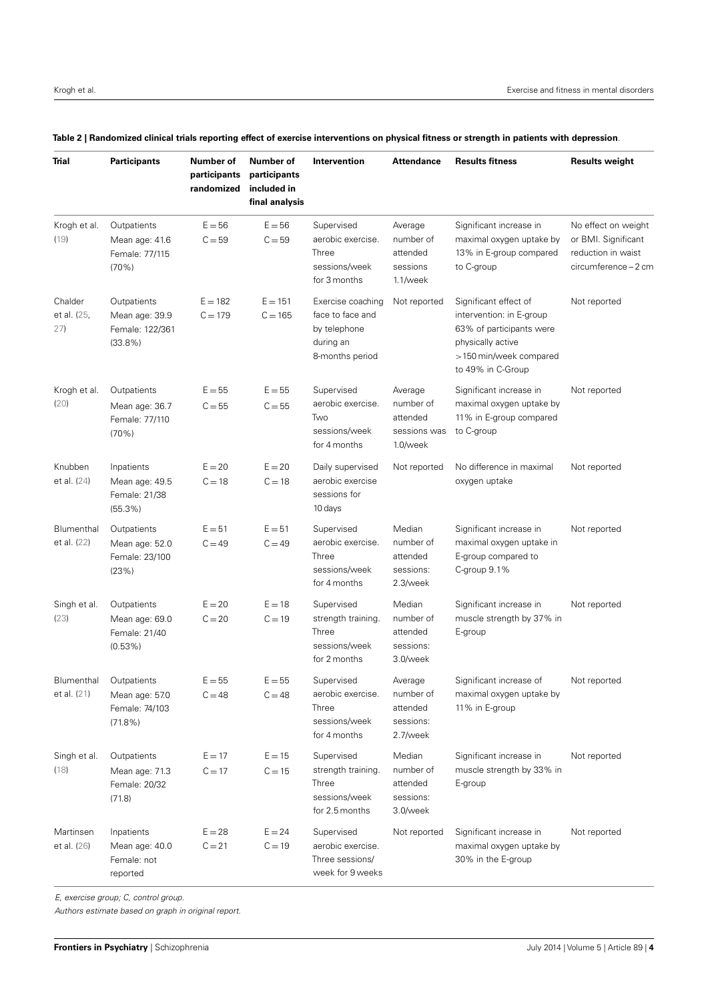| Trial                         | <b>Participants</b>                                                      | Number of<br>participants<br>randomized | Number of<br>participants<br>included in<br>final analysis | Intervention                                                                          | <b>Attendance</b>                                            | <b>Results fitness</b>                                                                                                                            | <b>Results weight</b>                                                                    |
|-------------------------------|--------------------------------------------------------------------------|-----------------------------------------|------------------------------------------------------------|---------------------------------------------------------------------------------------|--------------------------------------------------------------|---------------------------------------------------------------------------------------------------------------------------------------------------|------------------------------------------------------------------------------------------|
| Krogh et al.<br>(19)          | Outpatients<br>Mean age: 41.6<br>Female: 77/115<br>(70%)                 | $E = 56$<br>$C = 59$                    | $E = 56$<br>$C = 59$                                       | Supervised<br>aerobic exercise.<br>Three<br>sessions/week<br>for 3 months             | Average<br>number of<br>attended<br>sessions<br>$1.1$ /week  | Significant increase in<br>maximal oxygen uptake by<br>13% in E-group compared<br>to C-group                                                      | No effect on weight<br>or BMI. Significant<br>reduction in waist<br>circumference - 2 cm |
| Chalder<br>et al. (25,<br>27) | Outpatients<br>Mean age: 39.9<br>Female: 122/361<br>$(33.8\%)$           | $E = 182$<br>$C = 179$                  | $E = 151$<br>$C = 165$                                     | Exercise coaching<br>face to face and<br>by telephone<br>during an<br>8-months period | Not reported                                                 | Significant effect of<br>intervention: in E-group<br>63% of participants were<br>physically active<br>>150 min/week compared<br>to 49% in C-Group | Not reported                                                                             |
| Krogh et al.<br>(20)          | Outpatients<br>Mean age: 36.7<br>Female: 77/110<br>(70%)                 | $E = 55$<br>$C = 55$                    | $E = 55$<br>$C = 55$                                       | Supervised<br>aerobic exercise.<br>Two<br>sessions/week<br>for 4 months               | Average<br>number of<br>attended<br>sessions was<br>1.0/week | Significant increase in<br>maximal oxygen uptake by<br>11% in E-group compared<br>to C-group                                                      | Not reported                                                                             |
| Knubben<br>et al. (24)        | Inpatients<br>Mean age: 49.5<br>Female: 21/38<br>$(55.3\%)$              | $E = 20$<br>$C = 18$                    | $E = 20$<br>$C = 18$                                       | Daily supervised<br>aerobic exercise<br>sessions for<br>10 days                       | Not reported                                                 | No difference in maximal<br>oxygen uptake                                                                                                         | Not reported                                                                             |
| Blumenthal<br>et al. (22)     | Outpatients<br>Mean age: 52.0<br>Female: 23/100<br>(23%)                 | $E = 51$<br>$C = 49$                    | $E = 51$<br>$C = 49$                                       | Supervised<br>aerobic exercise.<br>Three<br>sessions/week<br>for 4 months             | Median<br>number of<br>attended<br>sessions:<br>2.3/week     | Significant increase in<br>maximal oxygen uptake in<br>E-group compared to<br>C-group 9.1%                                                        | Not reported                                                                             |
| Singh et al.<br>(23)          | Outpatients<br>Mean age: 69.0<br>Female: 21/40<br>$(0.53\%)$             | $E = 20$<br>$C = 20$                    | $E = 18$<br>$C = 19$                                       | Supervised<br>strength training.<br>Three<br>sessions/week<br>for 2 months            | Median<br>number of<br>attended<br>sessions:<br>3.0/week     | Significant increase in<br>muscle strength by 37% in<br>E-group                                                                                   | Not reported                                                                             |
| et al. (21)                   | Blumenthal Outpatients<br>Mean age: 57.0<br>Female: 74/103<br>$(71.8\%)$ | $E = 55$<br>$C = 48$                    | $E = 55$<br>$C = 48$                                       | Supervised<br>aerobic exercise.<br>Three<br>sessions/week<br>for 4 months             | Average<br>number of<br>attended<br>sessions:<br>2.7/week    | Significant increase of<br>maximal oxygen uptake by<br>11% in E-group                                                                             | Not reported                                                                             |
| Singh et al.<br>(18)          | Outpatients<br>Mean age: 71.3<br>Female: 20/32<br>(71.8)                 | $E = 17$<br>$C = 17$                    | $E = 15$<br>$C = 15$                                       | Supervised<br>strength training.<br>Three<br>sessions/week<br>for 2.5 months          | Median<br>number of<br>attended<br>sessions:<br>3.0/week     | Significant increase in<br>muscle strength by 33% in<br>E-group                                                                                   | Not reported                                                                             |
| Martinsen<br>et al. (26)      | Inpatients<br>Mean age: 40.0<br>Female: not<br>reported                  | $E = 28$<br>$C = 21$                    | $E = 24$<br>$C = 19$                                       | Supervised<br>aerobic exercise.<br>Three sessions/<br>week for 9 weeks                | Not reported                                                 | Significant increase in<br>maximal oxygen uptake by<br>30% in the E-group                                                                         | Not reported                                                                             |

## <span id="page-4-0"></span>**Table 2 | Randomized clinical trials reporting effect of exercise interventions on physical fitness or strength in patients with depression**.

E, exercise group; C, control group.

Authors estimate based on graph in original report.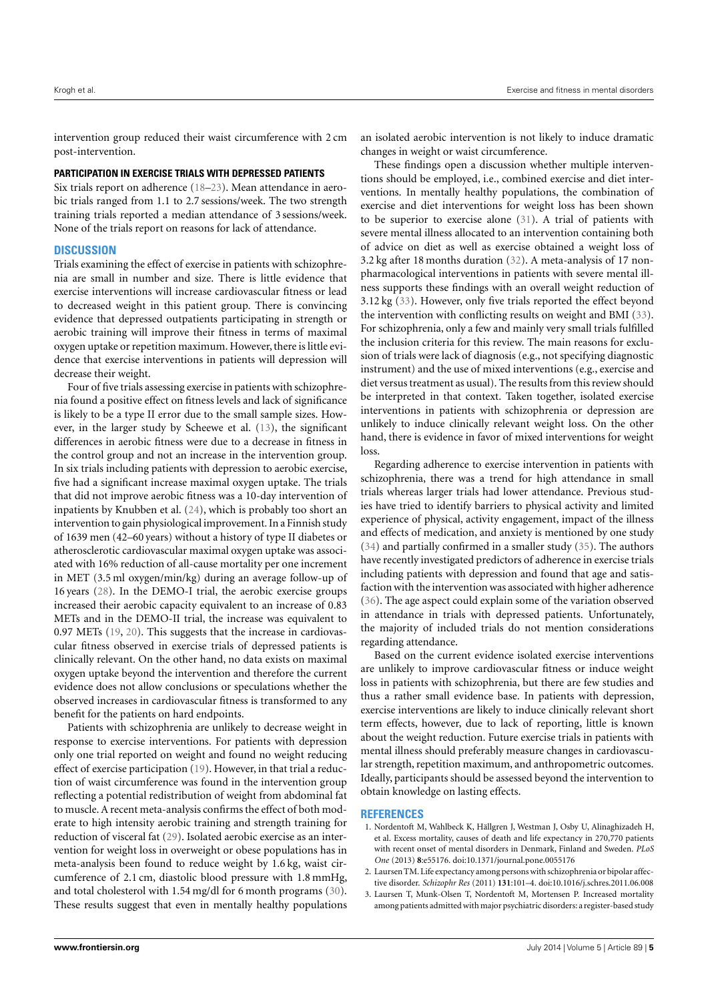intervention group reduced their waist circumference with 2 cm post-intervention.

## **PARTICIPATION IN EXERCISE TRIALS WITH DEPRESSED PATIENTS**

Six trials report on adherence [\(18–](#page-6-11)[23\)](#page-6-18). Mean attendance in aerobic trials ranged from 1.1 to 2.7 sessions/week. The two strength training trials reported a median attendance of 3 sessions/week. None of the trials report on reasons for lack of attendance.

## **DISCUSSION**

Trials examining the effect of exercise in patients with schizophrenia are small in number and size. There is little evidence that exercise interventions will increase cardiovascular fitness or lead to decreased weight in this patient group. There is convincing evidence that depressed outpatients participating in strength or aerobic training will improve their fitness in terms of maximal oxygen uptake or repetition maximum. However, there is little evidence that exercise interventions in patients will depression will decrease their weight.

Four of five trials assessing exercise in patients with schizophrenia found a positive effect on fitness levels and lack of significance is likely to be a type II error due to the small sample sizes. However, in the larger study by Scheewe et al. [\(13\)](#page-6-9), the significant differences in aerobic fitness were due to a decrease in fitness in the control group and not an increase in the intervention group. In six trials including patients with depression to aerobic exercise, five had a significant increase maximal oxygen uptake. The trials that did not improve aerobic fitness was a 10-day intervention of inpatients by Knubben et al. [\(24\)](#page-6-20), which is probably too short an intervention to gain physiological improvement. In a Finnish study of 1639 men (42–60 years) without a history of type II diabetes or atherosclerotic cardiovascular maximal oxygen uptake was associated with 16% reduction of all-cause mortality per one increment in MET (3.5 ml oxygen/min/kg) during an average follow-up of 16 years [\(28\)](#page-6-24). In the DEMO-I trial, the aerobic exercise groups increased their aerobic capacity equivalent to an increase of 0.83 METs and in the DEMO-II trial, the increase was equivalent to 0.97 METs [\(19,](#page-6-16) [20\)](#page-6-22). This suggests that the increase in cardiovascular fitness observed in exercise trials of depressed patients is clinically relevant. On the other hand, no data exists on maximal oxygen uptake beyond the intervention and therefore the current evidence does not allow conclusions or speculations whether the observed increases in cardiovascular fitness is transformed to any benefit for the patients on hard endpoints.

Patients with schizophrenia are unlikely to decrease weight in response to exercise interventions. For patients with depression only one trial reported on weight and found no weight reducing effect of exercise participation [\(19\)](#page-6-16). However, in that trial a reduction of waist circumference was found in the intervention group reflecting a potential redistribution of weight from abdominal fat to muscle. A recent meta-analysis confirms the effect of both moderate to high intensity aerobic training and strength training for reduction of visceral fat [\(29\)](#page-6-25). Isolated aerobic exercise as an intervention for weight loss in overweight or obese populations has in meta-analysis been found to reduce weight by 1.6 kg, waist circumference of 2.1 cm, diastolic blood pressure with 1.8 mmHg, and total cholesterol with 1.54 mg/dl for 6 month programs [\(30\)](#page-6-26). These results suggest that even in mentally healthy populations an isolated aerobic intervention is not likely to induce dramatic changes in weight or waist circumference.

These findings open a discussion whether multiple interventions should be employed, i.e., combined exercise and diet interventions. In mentally healthy populations, the combination of exercise and diet interventions for weight loss has been shown to be superior to exercise alone [\(31\)](#page-6-27). A trial of patients with severe mental illness allocated to an intervention containing both of advice on diet as well as exercise obtained a weight loss of 3.2 kg after 18 months duration [\(32\)](#page-6-28). A meta-analysis of 17 nonpharmacological interventions in patients with severe mental illness supports these findings with an overall weight reduction of 3.12 kg [\(33\)](#page-6-29). However, only five trials reported the effect beyond the intervention with conflicting results on weight and BMI [\(33\)](#page-6-29). For schizophrenia, only a few and mainly very small trials fulfilled the inclusion criteria for this review. The main reasons for exclusion of trials were lack of diagnosis (e.g., not specifying diagnostic instrument) and the use of mixed interventions (e.g., exercise and diet versus treatment as usual). The results from this review should be interpreted in that context. Taken together, isolated exercise interventions in patients with schizophrenia or depression are unlikely to induce clinically relevant weight loss. On the other hand, there is evidence in favor of mixed interventions for weight loss.

Regarding adherence to exercise intervention in patients with schizophrenia, there was a trend for high attendance in small trials whereas larger trials had lower attendance. Previous studies have tried to identify barriers to physical activity and limited experience of physical, activity engagement, impact of the illness and effects of medication, and anxiety is mentioned by one study [\(34\)](#page-6-30) and partially confirmed in a smaller study [\(35\)](#page-6-31). The authors have recently investigated predictors of adherence in exercise trials including patients with depression and found that age and satisfaction with the intervention was associated with higher adherence [\(36\)](#page-6-32). The age aspect could explain some of the variation observed in attendance in trials with depressed patients. Unfortunately, the majority of included trials do not mention considerations regarding attendance.

Based on the current evidence isolated exercise interventions are unlikely to improve cardiovascular fitness or induce weight loss in patients with schizophrenia, but there are few studies and thus a rather small evidence base. In patients with depression, exercise interventions are likely to induce clinically relevant short term effects, however, due to lack of reporting, little is known about the weight reduction. Future exercise trials in patients with mental illness should preferably measure changes in cardiovascular strength, repetition maximum, and anthropometric outcomes. Ideally, participants should be assessed beyond the intervention to obtain knowledge on lasting effects.

### **REFERENCES**

- <span id="page-5-0"></span>1. Nordentoft M, Wahlbeck K, Hällgren J, Westman J, Osby U, Alinaghizadeh H, et al. Excess mortality, causes of death and life expectancy in 270,770 patients with recent onset of mental disorders in Denmark, Finland and Sweden. *PLoS One* (2013) **8**:e55176. doi[:10.1371/journal.pone.0055176](http://dx.doi.org/10.1371/journal.pone.0055176)
- <span id="page-5-1"></span>2. Laursen TM. Life expectancy among persons with schizophrenia or bipolar affective disorder. *Schizophr Res* (2011) **131**:101–4. doi[:10.1016/j.schres.2011.06.008](http://dx.doi.org/10.1016/j.schres.2011.06.008)
- <span id="page-5-2"></span>3. Laursen T, Munk-Olsen T, Nordentoft M, Mortensen P. Increased mortality among patients admitted with major psychiatric disorders: a register-based study